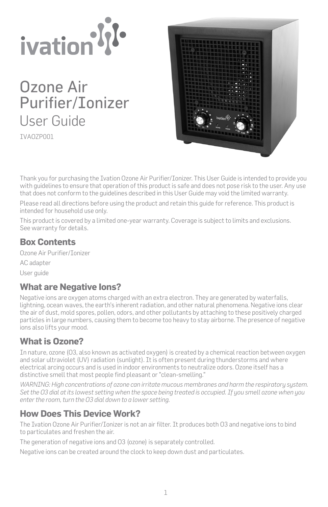

Ozone Air Purifier/Ionizer User Guide

IVAOZP001



Thank you for purchasing the Ivation Ozone Air Purifier/Ionizer. This User Guide is intended to provide you with guidelines to ensure that operation of this product is safe and does not pose risk to the user. Any use that does not conform to the guidelines described in this User Guide may void the limited warranty.

Please read all directions before using the product and retain this guide for reference. This product is intended for household use only.

This product is covered by a limited one-year warranty. Coverage is subject to limits and exclusions. See warranty for details.

## **Box Contents**

Ozone Air Purifier/Ionizer

AC adapter

User guide

# **What are Negative Ions?**

Negative ions are oxygen atoms charged with an extra electron. They are generated by waterfalls, lightning, ocean waves, the earth's inherent radiation, and other natural phenomena. Negative ions clear the air of dust, mold spores, pollen, odors, and other pollutants by attaching to these positively charged particles in large numbers, causing them to become too heavy to stay airborne. The presence of negative ions also lifts your mood.

# **What is Ozone?**

In nature, ozone (O3, also known as activated oxygen) is created by a chemical reaction between oxygen and solar ultraviolet (UV) radiation (sunlight). It is often present during thunderstorms and where electrical arcing occurs and is used in indoor environments to neutralize odors. Ozone itself has a distinctive smell that most people find pleasant or "clean-smelling."

*WARNING: High concentrations of ozone can irritate mucous membranes and harm the respiratory system. Set the O3 dial at its lowest setting when the space being treated is occupied. If you smell ozone when you enter the room, turn the O3 dial down to a lower setting.*

# **How Does This Device Work?**

The Ivation Ozone Air Purifier/Ionizer is not an air filter. It produces both O3 and negative ions to bind to particulates and freshen the air.

The generation of negative ions and O3 (ozone) is separately controlled.

Negative ions can be created around the clock to keep down dust and particulates.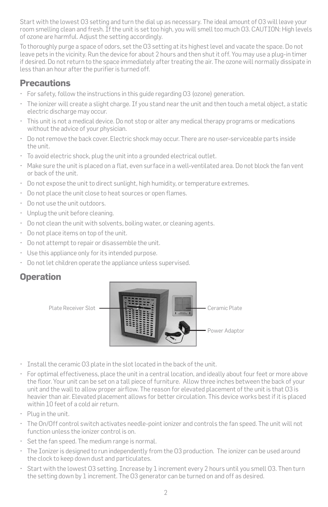Start with the lowest O3 setting and turn the dial up as necessary. The ideal amount of O3 will leave your room smelling clean and fresh. If the unit is set too high, you will smell too much O3. CAUTION: High levels of ozone are harmful. Adjust the setting accordingly.

To thoroughly purge a space of odors, set the O3 setting at its highest level and vacate the space. Do not leave pets in the vicinity. Run the device for about 2 hours and then shut it off. You may use a plug-in timer if desired. Do not return to the space immediately after treating the air. The ozone will normally dissipate in less than an hour after the purifier is turned off.

# **Precautions**

- For safety, follow the instructions in this guide regarding O3 (ozone) generation.
- The ionizer will create a slight charge. If you stand near the unit and then touch a metal object, a static electric discharge may occur.
- This unit is not a medical device. Do not stop or alter any medical therapy programs or medications without the advice of your physician.
- Do not remove the back cover. Electric shock may occur. There are no user-serviceable parts inside the unit.
- To avoid electric shock, plug the unit into a grounded electrical outlet.
- Make sure the unit is placed on a flat, even surface in a well-ventilated area. Do not block the fan vent or back of the unit.
- Do not expose the unit to direct sunlight, high humidity, or temperature extremes.
- Do not place the unit close to heat sources or open flames.
- Do not use the unit outdoors.
- Unplug the unit before cleaning.
- Do not clean the unit with solvents, boiling water, or cleaning agents.
- Do not place items on top of the unit.
- Do not attempt to repair or disassemble the unit.
- Use this appliance only for its intended purpose.
- Do not let children operate the appliance unless supervised.

# **Operation**



- Install the ceramic O3 plate in the slot located in the back of the unit.
- For optimal effectiveness, place the unit in a central location, and ideally about four feet or more above the floor. Your unit can be set on a tall piece of furniture. Allow three inches between the back of your unit and the wall to allow proper airflow. The reason for elevated placement of the unit is that O3 is heavier than air. Elevated placement allows for better circulation. This device works best if it is placed within 10 feet of a cold air return.
- Plug in the unit.
- The On/Off control switch activates needle-point ionizer and controls the fan speed. The unit will not function unless the ionizer control is on.
- Set the fan speed. The medium range is normal.
- The Ionizer is designed to run independently from the O3 production. The ionizer can be used around the clock to keep down dust and particulates.
- Start with the lowest O3 setting. Increase by 1 increment every 2 hours until you smell O3. Then turn the setting down by 1 increment. The O3 generator can be turned on and off as desired.